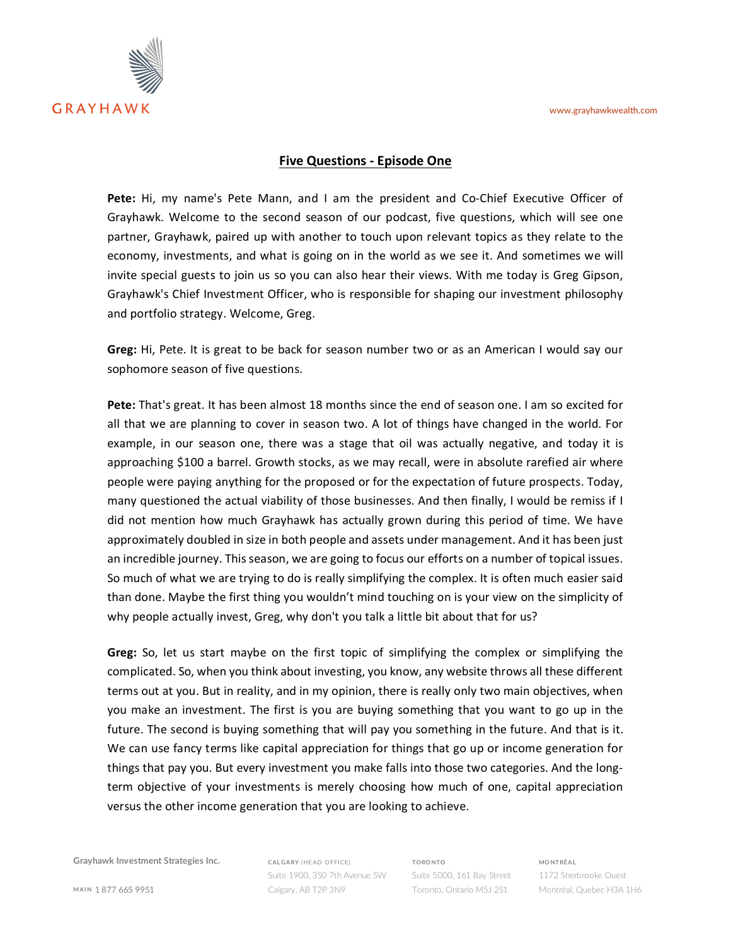**www.grayhawkwealth.com**



## **Five Questions - Episode One**

**Pete:** Hi, my name's Pete Mann, and I am the president and Co-Chief Executive Officer of Grayhawk. Welcome to the second season of our podcast, five questions, which will see one partner, Grayhawk, paired up with another to touch upon relevant topics as they relate to the economy, investments, and what is going on in the world as we see it. And sometimes we will invite special guests to join us so you can also hear their views. With me today is Greg Gipson, Grayhawk's Chief Investment Officer, who is responsible for shaping our investment philosophy and portfolio strategy. Welcome, Greg.

**Greg:** Hi, Pete. It is great to be back for season number two or as an American I would say our sophomore season of five questions.

**Pete:** That's great. It has been almost 18 months since the end of season one. I am so excited for all that we are planning to cover in season two. A lot of things have changed in the world. For example, in our season one, there was a stage that oil was actually negative, and today it is approaching \$100 a barrel. Growth stocks, as we may recall, were in absolute rarefied air where people were paying anything for the proposed or for the expectation of future prospects. Today, many questioned the actual viability of those businesses. And then finally, I would be remiss if I did not mention how much Grayhawk has actually grown during this period of time. We have approximately doubled in size in both people and assets under management. And it has been just an incredible journey. This season, we are going to focus our efforts on a number of topical issues. So much of what we are trying to do is really simplifying the complex. It is often much easier said than done. Maybe the first thing you wouldn't mind touching on is your view on the simplicity of why people actually invest, Greg, why don't you talk a little bit about that for us?

**Greg:** So, let us start maybe on the first topic of simplifying the complex or simplifying the complicated. So, when you think about investing, you know, any website throws all these different terms out at you. But in reality, and in my opinion, there is really only two main objectives, when you make an investment. The first is you are buying something that you want to go up in the future. The second is buying something that will pay you something in the future. And that is it. We can use fancy terms like capital appreciation for things that go up or income generation for things that pay you. But every investment you make falls into those two categories. And the longterm objective of your investments is merely choosing how much of one, capital appreciation versus the other income generation that you are looking to achieve.

**Grayhawk Investment Strategies Inc.**

**CAL GARY** (HE AD OFFICE) Suite 1900, 350 7th Avenue SW Calgary, AB T2P 3N9

**TORO NTO** Suite 5000, 161 Bay Street Toronto, Ontario M5J 2S1

**MO NTRÉA L** 1172 Sherbrooke Ouest Montréal, Quebec H3A 1H6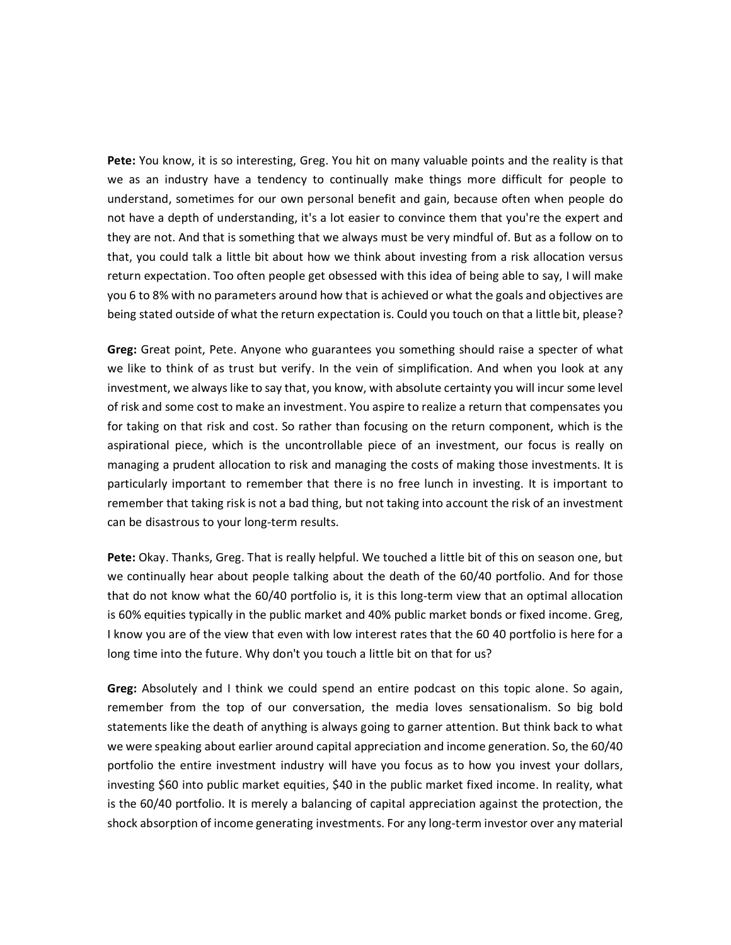**Pete:** You know, it is so interesting, Greg. You hit on many valuable points and the reality is that we as an industry have a tendency to continually make things more difficult for people to understand, sometimes for our own personal benefit and gain, because often when people do not have a depth of understanding, it's a lot easier to convince them that you're the expert and they are not. And that is something that we always must be very mindful of. But as a follow on to that, you could talk a little bit about how we think about investing from a risk allocation versus return expectation. Too often people get obsessed with this idea of being able to say, I will make you 6 to 8% with no parameters around how that is achieved or what the goals and objectives are being stated outside of what the return expectation is. Could you touch on that a little bit, please?

**Greg:** Great point, Pete. Anyone who guarantees you something should raise a specter of what we like to think of as trust but verify. In the vein of simplification. And when you look at any investment, we always like to say that, you know, with absolute certainty you will incur some level of risk and some cost to make an investment. You aspire to realize a return that compensates you for taking on that risk and cost. So rather than focusing on the return component, which is the aspirational piece, which is the uncontrollable piece of an investment, our focus is really on managing a prudent allocation to risk and managing the costs of making those investments. It is particularly important to remember that there is no free lunch in investing. It is important to remember that taking risk is not a bad thing, but not taking into account the risk of an investment can be disastrous to your long-term results.

**Pete:** Okay. Thanks, Greg. That is really helpful. We touched a little bit of this on season one, but we continually hear about people talking about the death of the 60/40 portfolio. And for those that do not know what the 60/40 portfolio is, it is this long-term view that an optimal allocation is 60% equities typically in the public market and 40% public market bonds or fixed income. Greg, I know you are of the view that even with low interest rates that the 60 40 portfolio is here for a long time into the future. Why don't you touch a little bit on that for us?

**Greg:** Absolutely and I think we could spend an entire podcast on this topic alone. So again, remember from the top of our conversation, the media loves sensationalism. So big bold statements like the death of anything is always going to garner attention. But think back to what we were speaking about earlier around capital appreciation and income generation. So, the 60/40 portfolio the entire investment industry will have you focus as to how you invest your dollars, investing \$60 into public market equities, \$40 in the public market fixed income. In reality, what is the 60/40 portfolio. It is merely a balancing of capital appreciation against the protection, the shock absorption of income generating investments. For any long-term investor over any material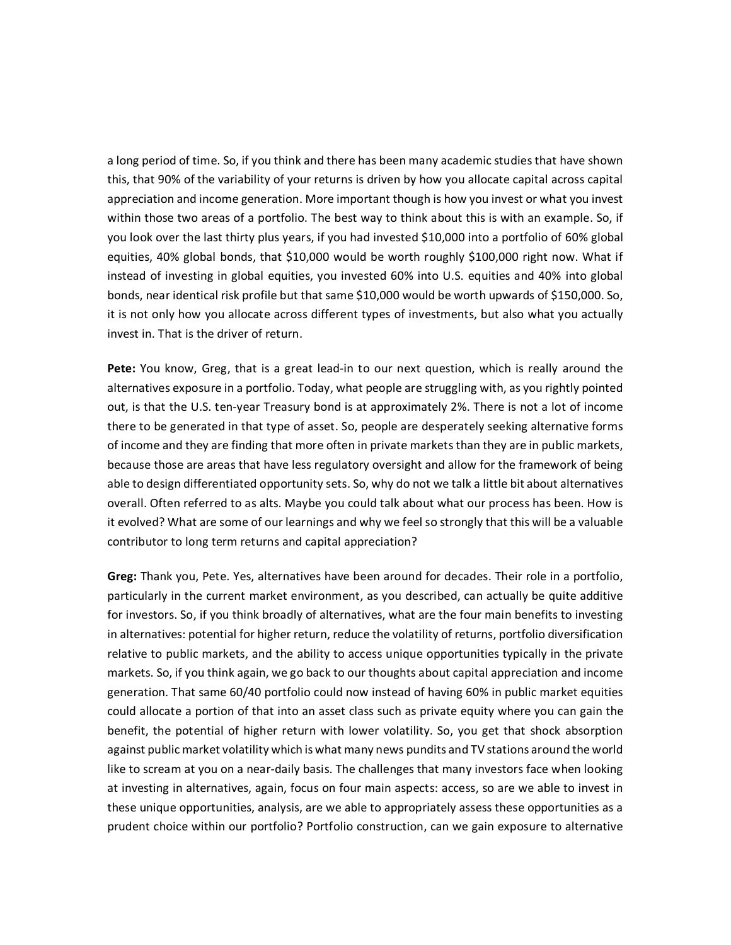a long period of time. So, if you think and there has been many academic studies that have shown this, that 90% of the variability of your returns is driven by how you allocate capital across capital appreciation and income generation. More important though is how you invest or what you invest within those two areas of a portfolio. The best way to think about this is with an example. So, if you look over the last thirty plus years, if you had invested \$10,000 into a portfolio of 60% global equities, 40% global bonds, that \$10,000 would be worth roughly \$100,000 right now. What if instead of investing in global equities, you invested 60% into U.S. equities and 40% into global bonds, near identical risk profile but that same \$10,000 would be worth upwards of \$150,000. So, it is not only how you allocate across different types of investments, but also what you actually invest in. That is the driver of return.

**Pete:** You know, Greg, that is a great lead-in to our next question, which is really around the alternatives exposure in a portfolio. Today, what people are struggling with, as you rightly pointed out, is that the U.S. ten-year Treasury bond is at approximately 2%. There is not a lot of income there to be generated in that type of asset. So, people are desperately seeking alternative forms of income and they are finding that more often in private markets than they are in public markets, because those are areas that have less regulatory oversight and allow for the framework of being able to design differentiated opportunity sets. So, why do not we talk a little bit about alternatives overall. Often referred to as alts. Maybe you could talk about what our process has been. How is it evolved? What are some of our learnings and why we feel so strongly that this will be a valuable contributor to long term returns and capital appreciation?

**Greg:** Thank you, Pete. Yes, alternatives have been around for decades. Their role in a portfolio, particularly in the current market environment, as you described, can actually be quite additive for investors. So, if you think broadly of alternatives, what are the four main benefits to investing in alternatives: potential for higher return, reduce the volatility of returns, portfolio diversification relative to public markets, and the ability to access unique opportunities typically in the private markets. So, if you think again, we go back to our thoughts about capital appreciation and income generation. That same 60/40 portfolio could now instead of having 60% in public market equities could allocate a portion of that into an asset class such as private equity where you can gain the benefit, the potential of higher return with lower volatility. So, you get that shock absorption against public market volatility which is what many news pundits and TV stations around the world like to scream at you on a near-daily basis. The challenges that many investors face when looking at investing in alternatives, again, focus on four main aspects: access, so are we able to invest in these unique opportunities, analysis, are we able to appropriately assess these opportunities as a prudent choice within our portfolio? Portfolio construction, can we gain exposure to alternative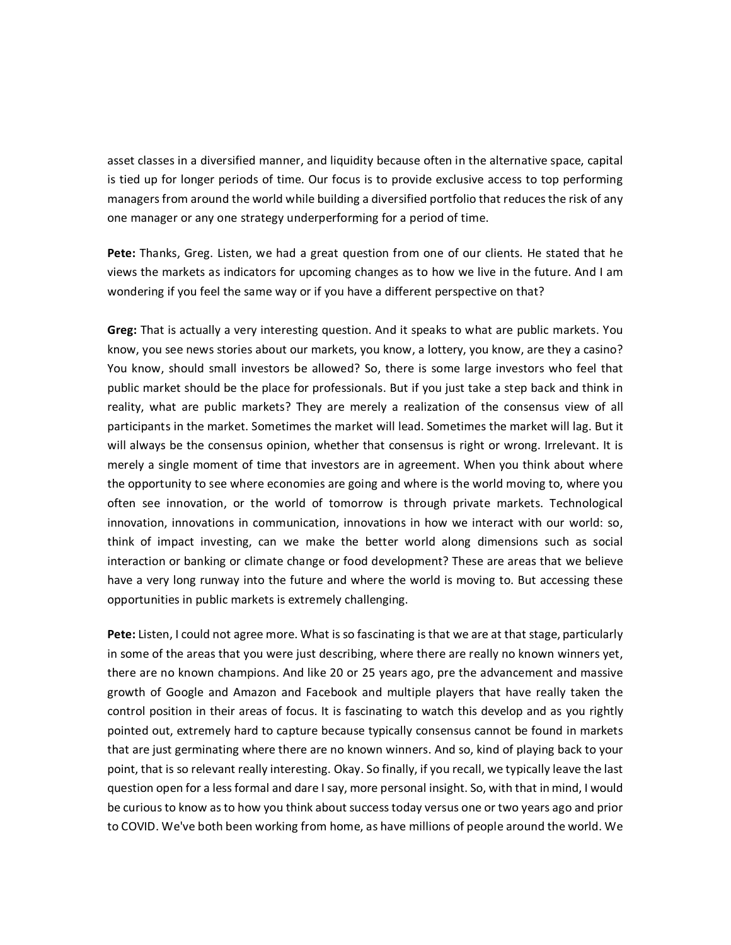asset classes in a diversified manner, and liquidity because often in the alternative space, capital is tied up for longer periods of time. Our focus is to provide exclusive access to top performing managers from around the world while building a diversified portfolio that reduces the risk of any one manager or any one strategy underperforming for a period of time.

**Pete:** Thanks, Greg. Listen, we had a great question from one of our clients. He stated that he views the markets as indicators for upcoming changes as to how we live in the future. And I am wondering if you feel the same way or if you have a different perspective on that?

**Greg:** That is actually a very interesting question. And it speaks to what are public markets. You know, you see news stories about our markets, you know, a lottery, you know, are they a casino? You know, should small investors be allowed? So, there is some large investors who feel that public market should be the place for professionals. But if you just take a step back and think in reality, what are public markets? They are merely a realization of the consensus view of all participants in the market. Sometimes the market will lead. Sometimes the market will lag. But it will always be the consensus opinion, whether that consensus is right or wrong. Irrelevant. It is merely a single moment of time that investors are in agreement. When you think about where the opportunity to see where economies are going and where is the world moving to, where you often see innovation, or the world of tomorrow is through private markets. Technological innovation, innovations in communication, innovations in how we interact with our world: so, think of impact investing, can we make the better world along dimensions such as social interaction or banking or climate change or food development? These are areas that we believe have a very long runway into the future and where the world is moving to. But accessing these opportunities in public markets is extremely challenging.

Pete: Listen, I could not agree more. What is so fascinating is that we are at that stage, particularly in some of the areas that you were just describing, where there are really no known winners yet, there are no known champions. And like 20 or 25 years ago, pre the advancement and massive growth of Google and Amazon and Facebook and multiple players that have really taken the control position in their areas of focus. It is fascinating to watch this develop and as you rightly pointed out, extremely hard to capture because typically consensus cannot be found in markets that are just germinating where there are no known winners. And so, kind of playing back to your point, that is so relevant really interesting. Okay. So finally, if you recall, we typically leave the last question open for a less formal and dare I say, more personal insight. So, with that in mind, I would be curious to know as to how you think about success today versus one or two years ago and prior to COVID. We've both been working from home, as have millions of people around the world. We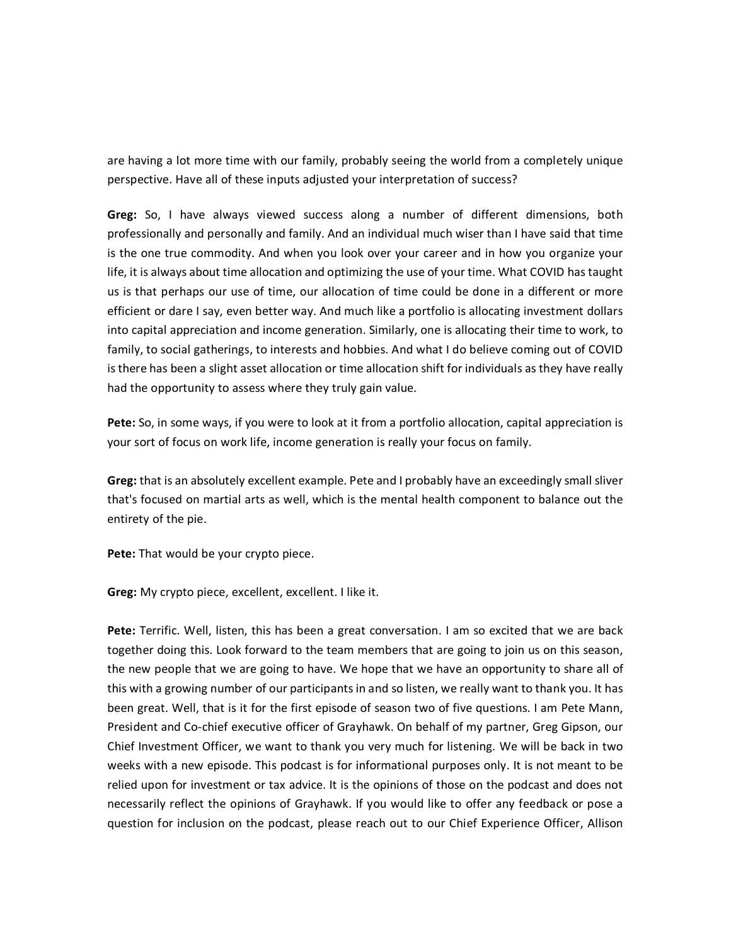are having a lot more time with our family, probably seeing the world from a completely unique perspective. Have all of these inputs adjusted your interpretation of success?

**Greg:** So, I have always viewed success along a number of different dimensions, both professionally and personally and family. And an individual much wiser than I have said that time is the one true commodity. And when you look over your career and in how you organize your life, it is always about time allocation and optimizing the use of your time. What COVID has taught us is that perhaps our use of time, our allocation of time could be done in a different or more efficient or dare I say, even better way. And much like a portfolio is allocating investment dollars into capital appreciation and income generation. Similarly, one is allocating their time to work, to family, to social gatherings, to interests and hobbies. And what I do believe coming out of COVID is there has been a slight asset allocation or time allocation shift for individuals as they have really had the opportunity to assess where they truly gain value.

**Pete:** So, in some ways, if you were to look at it from a portfolio allocation, capital appreciation is your sort of focus on work life, income generation is really your focus on family.

**Greg:** that is an absolutely excellent example. Pete and I probably have an exceedingly small sliver that's focused on martial arts as well, which is the mental health component to balance out the entirety of the pie.

**Pete:** That would be your crypto piece.

**Greg:** My crypto piece, excellent, excellent. I like it.

**Pete:** Terrific. Well, listen, this has been a great conversation. I am so excited that we are back together doing this. Look forward to the team members that are going to join us on this season, the new people that we are going to have. We hope that we have an opportunity to share all of this with a growing number of our participants in and so listen, we really want to thank you. It has been great. Well, that is it for the first episode of season two of five questions. I am Pete Mann, President and Co-chief executive officer of Grayhawk. On behalf of my partner, Greg Gipson, our Chief Investment Officer, we want to thank you very much for listening. We will be back in two weeks with a new episode. This podcast is for informational purposes only. It is not meant to be relied upon for investment or tax advice. It is the opinions of those on the podcast and does not necessarily reflect the opinions of Grayhawk. If you would like to offer any feedback or pose a question for inclusion on the podcast, please reach out to our Chief Experience Officer, Allison